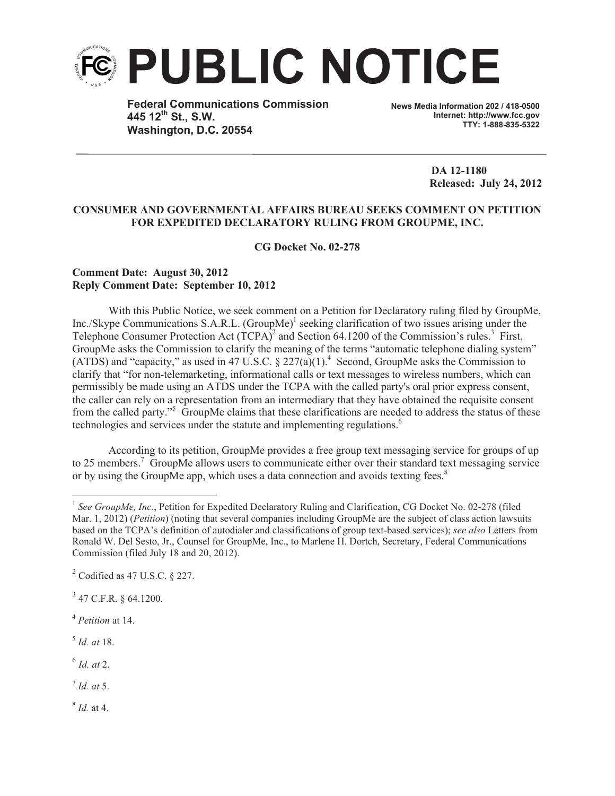

**Federal Communications Commission 445 12th St., S.W. Washington, D.C. 20554**

**News Media Information 202 / 418-0500 Internet: http://www.fcc.gov TTY: 1-888-835-5322**

> **DA 12-1180 Released: July 24, 2012**

## **CONSUMER AND GOVERNMENTAL AFFAIRS BUREAU SEEKS COMMENT ON PETITION FOR EXPEDITED DECLARATORY RULING FROM GROUPME, INC.**

**CG Docket No. 02-278**

## **Comment Date: August 30, 2012 Reply Comment Date: September 10, 2012**

With this Public Notice, we seek comment on a Petition for Declaratory ruling filed by GroupMe, Inc./Skype Communications S.A.R.L. (GroupMe)<sup>1</sup> seeking clarification of two issues arising under the Telephone Consumer Protection Act  $(TCPA)^2$  and Section 64.1200 of the Commission's rules.<sup>3</sup> First, GroupMe asks the Commission to clarify the meaning of the terms "automatic telephone dialing system" (ATDS) and "capacity," as used in 47 U.S.C.  $\S 227(a)(1)$ .<sup>4</sup> Second, GroupMe asks the Commission to clarify that "for non-telemarketing, informational calls or text messages to wireless numbers, which can permissibly be made using an ATDS under the TCPA with the called party's oral prior express consent, the caller can rely on a representation from an intermediary that they have obtained the requisite consent from the called party."<sup>5</sup> GroupMe claims that these clarifications are needed to address the status of these technologies and services under the statute and implementing regulations.<sup>6</sup>

According to its petition, GroupMe provides a free group text messaging service for groups of up to 25 members.<sup>7</sup> GroupMe allows users to communicate either over their standard text messaging service or by using the GroupMe app, which uses a data connection and avoids texting fees.<sup>8</sup>

<sup>4</sup> *Petition* at 14.

5 *Id. at* 18.

6 *Id. at* 2.

7 *Id. at* 5.

8 *Id.* at 4.

<sup>&</sup>lt;sup>1</sup> See GroupMe, Inc., Petition for Expedited Declaratory Ruling and Clarification, CG Docket No. 02-278 (filed Mar. 1, 2012) (*Petition*) (noting that several companies including GroupMe are the subject of class action lawsuits based on the TCPA's definition of autodialer and classifications of group text-based services); *see also* Letters from Ronald W. Del Sesto, Jr., Counsel for GroupMe, Inc., to Marlene H. Dortch, Secretary, Federal Communications Commission (filed July 18 and 20, 2012).

 $2^2$  Codified as 47 U.S.C. § 227.

 $3$  47 C.F.R. § 64.1200.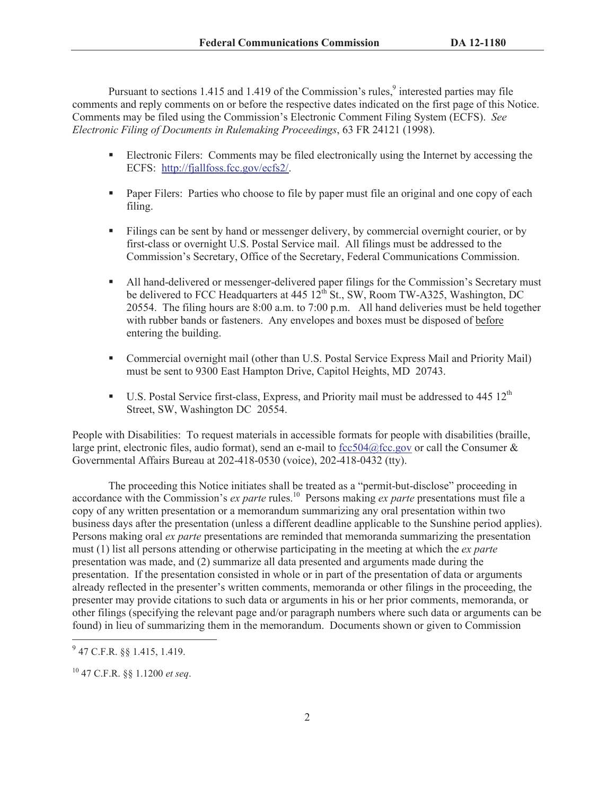Pursuant to sections 1.415 and 1.419 of the Commission's rules,<sup>9</sup> interested parties may file comments and reply comments on or before the respective dates indicated on the first page of this Notice. Comments may be filed using the Commission's Electronic Comment Filing System (ECFS). *See Electronic Filing of Documents in Rulemaking Proceedings*, 63 FR 24121 (1998).

- Electronic Filers: Comments may be filed electronically using the Internet by accessing the ECFS: http://fjallfoss.fcc.gov/ecfs2/.
- Paper Filers: Parties who choose to file by paper must file an original and one copy of each filing.
- Filings can be sent by hand or messenger delivery, by commercial overnight courier, or by first-class or overnight U.S. Postal Service mail. All filings must be addressed to the Commission's Secretary, Office of the Secretary, Federal Communications Commission.
- All hand-delivered or messenger-delivered paper filings for the Commission's Secretary must be delivered to FCC Headquarters at  $445 \frac{12^{th}}{S}$ t., SW, Room TW-A325, Washington, DC 20554. The filing hours are 8:00 a.m. to 7:00 p.m. All hand deliveries must be held together with rubber bands or fasteners. Any envelopes and boxes must be disposed of before entering the building.
- Commercial overnight mail (other than U.S. Postal Service Express Mail and Priority Mail) must be sent to 9300 East Hampton Drive, Capitol Heights, MD 20743.
- U.S. Postal Service first-class, Express, and Priority mail must be addressed to 445 12<sup>th</sup> Street, SW, Washington DC 20554.

People with Disabilities: To request materials in accessible formats for people with disabilities (braille, large print, electronic files, audio format), send an e-mail to  $fcc504@$  fcc.gov or call the Consumer  $&$ Governmental Affairs Bureau at 202-418-0530 (voice), 202-418-0432 (tty).

The proceeding this Notice initiates shall be treated as a "permit-but-disclose" proceeding in accordance with the Commission's *ex parte* rules.<sup>10</sup> Persons making *ex parte* presentations must file a copy of any written presentation or a memorandum summarizing any oral presentation within two business days after the presentation (unless a different deadline applicable to the Sunshine period applies). Persons making oral *ex parte* presentations are reminded that memoranda summarizing the presentation must (1) list all persons attending or otherwise participating in the meeting at which the *ex parte*  presentation was made, and (2) summarize all data presented and arguments made during the presentation. If the presentation consisted in whole or in part of the presentation of data or arguments already reflected in the presenter's written comments, memoranda or other filings in the proceeding, the presenter may provide citations to such data or arguments in his or her prior comments, memoranda, or other filings (specifying the relevant page and/or paragraph numbers where such data or arguments can be found) in lieu of summarizing them in the memorandum. Documents shown or given to Commission

 $^{9}$  47 C.F.R. §§ 1.415, 1.419.

<sup>10</sup> 47 C.F.R. §§ 1.1200 *et seq*.